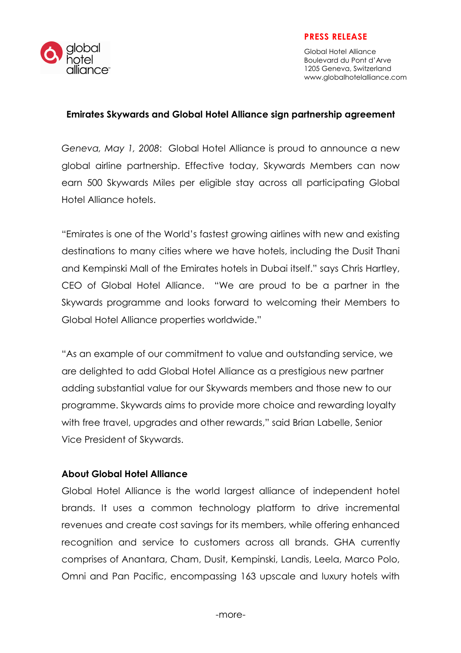

## PRESS RELEASE

Global Hotel Alliance Boulevard du Pont d'Arve 1205 Geneva, Switzerland www.globalhotelalliance.com

## Emirates Skywards and Global Hotel Alliance sign partnership agreement

Geneva, May 1, 2008: Global Hotel Alliance is proud to announce a new global airline partnership. Effective today, Skywards Members can now earn 500 Skywards Miles per eligible stay across all participating Global Hotel Alliance hotels.

"Emirates is one of the World's fastest growing airlines with new and existing destinations to many cities where we have hotels, including the Dusit Thani and Kempinski Mall of the Emirates hotels in Dubai itself." says Chris Hartley, CEO of Global Hotel Alliance. "We are proud to be a partner in the Skywards programme and looks forward to welcoming their Members to Global Hotel Alliance properties worldwide."

"As an example of our commitment to value and outstanding service, we are delighted to add Global Hotel Alliance as a prestigious new partner adding substantial value for our Skywards members and those new to our programme. Skywards aims to provide more choice and rewarding loyalty with free travel, upgrades and other rewards," said Brian Labelle, Senior Vice President of Skywards.

## About Global Hotel Alliance

Global Hotel Alliance is the world largest alliance of independent hotel brands. It uses a common technology platform to drive incremental revenues and create cost savings for its members, while offering enhanced recognition and service to customers across all brands. GHA currently comprises of Anantara, Cham, Dusit, Kempinski, Landis, Leela, Marco Polo, Omni and Pan Pacific, encompassing 163 upscale and luxury hotels with